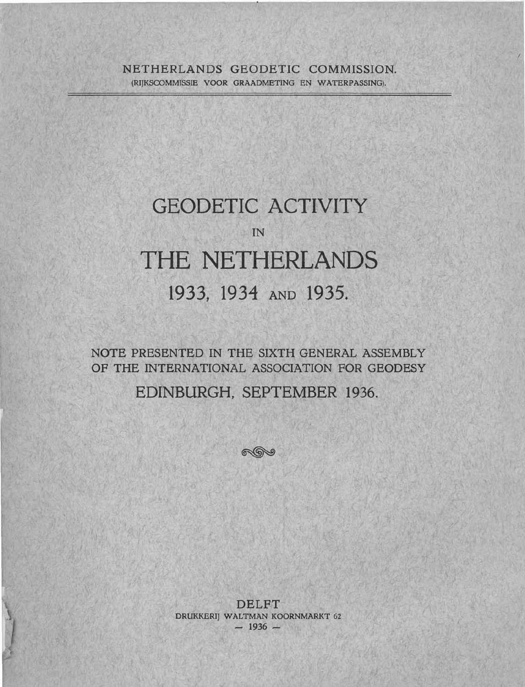## NETHERLANDS GEODETIC COMMISSION. (RIJKSCOMMISSIE VOOR GRAADMETING EN WATERPASSING).

# GEODETIC ACTIVITY IN THE NETHERLANDS 1933, 1934 AND 1935.

**NOTE** PRESENTED IN THE SIXTH GENERAL ASSEMBLY OF THE INTERNATIONAL ASSOCIATION FOR GEODESY

EDINBURGH, SEPTEMBER 1936.

 $\mathbb{R}$ 

DELFT DRUKKERIJ WALTMAN KOORNMARKT 62 - **1936** -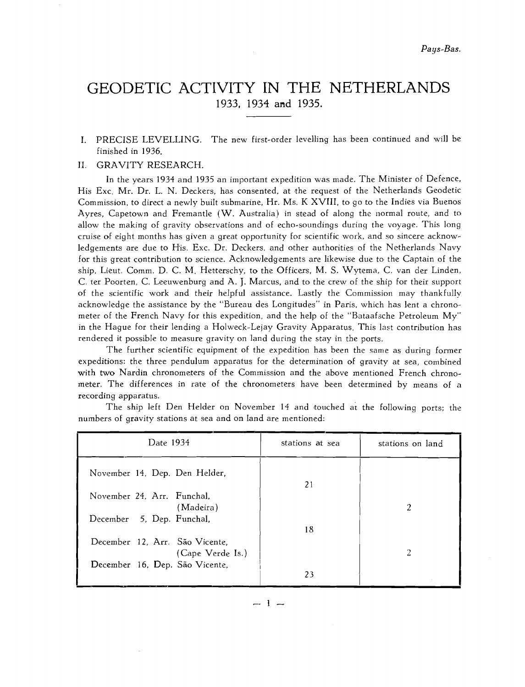# GEODETIC ACTIVITY IN THE NETHERLANDS 1933, 1934 and 1935.

I. PRECISE LEVELLING. The new first-order levelling has been continued and will be finished in 1936.

### 11. GRAVITY RESEARCH.

In the years 1934 and 1935 an important expedition was made. The Minister of Defence, His Exc, Mr. Dr. L. N. Deckers, has consented, at the request of the Netherlands Geodetic Commission, to direct a newly built submarine, Hr. Ms. K XVIII, to go to the Indies via Buenos Ayres, Capetown and Fremantle  $(W.$  Australia) in stead of along the normal route, and to allow the making of gravity observations and of echo-soundings during the voyage. This long cruise of eight months has given a great opportunity for scientific work, and so sincere acknowledgements are due to His. Exc. Dr. Deckers, and other authorities of the Netherlands Navy for this great contribution to science. Acknowledgements are likewise due to the Captain of the ship. Lieut. Comm. D. C. M. Hebterschy, to the Officers, M. S. Wytema, C. van der Linden, C. ter Poorten, C. Leeuwenburg and A. J. Marcus, and to the crew of the ship for their support of the scientific work and their helpful assistance. Lastly the Commission may thankfully acknowledge the assistance by the "Bureau des Longitudes" in Paris, which has lent a chronometer of the French Navy for this expedition, and the help of the "Bataafsche Petroleum My" in the Hague for their lending a Holweck-Lejay Gravity Apparatus. This last contribution has rendered it possible to measure gravity on land during the stay in the ports.

The further scientific equipment of the expedition has been the same as during former expeditions: the three pendulum apparatus for the determination of gravity at sea, combined with two Nardin chronometers of the Commission and the above mentioned French chronometer. The differences in rate of the chronometers have been determined by means of n recording apparatus.

| Date 1934                                          | stations at sea | stations on land |  |  |
|----------------------------------------------------|-----------------|------------------|--|--|
| November 14, Dep. Den Helder,                      | 21              |                  |  |  |
| November 24, Arr. Funchal,<br>(Madeira)            |                 | 2                |  |  |
| December 5, Dep. Funchal,                          | 18              |                  |  |  |
| December 12. Arr. São Vicente,<br>(Cape Verde Is.) |                 | 2                |  |  |
| December 16, Dep. São Vicente,                     | 23              |                  |  |  |

The ship left Den Helder on November 14 and touched at the following ports; the numbers of gravity stations at sea and on land are mentioned:

 $-1-$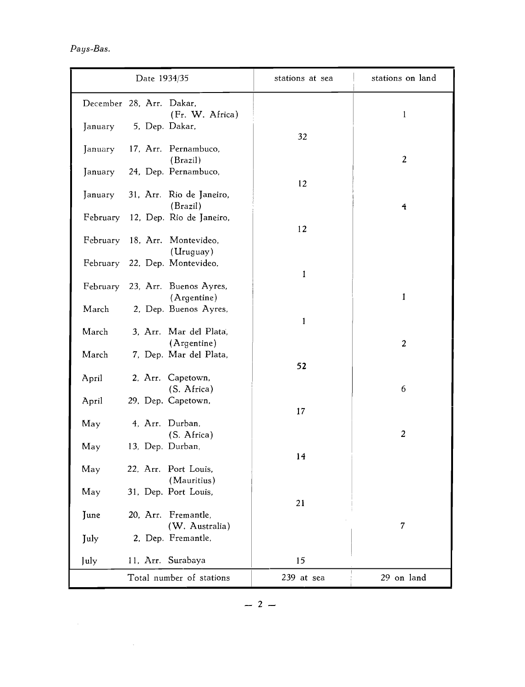|                          | Date 1934/35     |                                                | stations at sea | stations on land |
|--------------------------|------------------|------------------------------------------------|-----------------|------------------|
| December 28, Arr. Dakar, |                  | (Fr. W. Africa)                                |                 | $\mathbf{1}$     |
| January                  |                  | 5, Dep. Dakar,                                 | 32              |                  |
| January                  |                  | 17, Arr. Pernambuco,<br>(Brazil)               |                 | $\overline{2}$   |
| January                  |                  | 24, Dep. Pernambuco,                           | 12              |                  |
| January                  |                  | 31, Arr. Rio de Janeiro,<br>(Brazil)           |                 | $\overline{A}$   |
| February                 |                  | 12, Dep. Rio de Janeiro,                       | 12              |                  |
|                          |                  | February 18, Arr. Montevideo,<br>(Uruguay)     |                 |                  |
|                          |                  | February 22, Dep. Montevideo,                  | 1               |                  |
|                          |                  | February 23, Arr. Buenos Ayres,<br>(Argentine) |                 | 1                |
| March                    |                  | 2. Dep. Buenos Ayres,                          | $\mathbf{1}$    |                  |
| March                    |                  | 3, Arr. Mar del Plata,<br>(Argentine)          |                 | $\overline{c}$   |
| March                    |                  | 7, Dep. Mar del Plata,                         | 52              |                  |
| April                    |                  | 2, Arr. Capetown,<br>(S. Africa)               |                 | 6                |
| April                    |                  | 29, Dep. Capetown,                             | 17              |                  |
| May                      |                  | 4, Arr. Durban,<br>(S. Africa)                 |                 | $\overline{2}$   |
| May                      | 13, Dep. Durban, |                                                | 14              |                  |
| May                      |                  | 22, Arr. Port Louis,<br>(Mauritius)            |                 |                  |
| May                      |                  | 31, Dep. Port Louis,                           | 21              |                  |
| June                     |                  | 20, Arr. Fremantle,<br>(W. Australia)          |                 | $\overline{7}$   |
| July                     |                  | 2, Dep. Fremantle,                             |                 |                  |
| July                     |                  | 11, Arr. Surabaya                              | 15              |                  |
|                          |                  | Total number of stations                       | 239 at sea      | 29 on land       |

 $\sim 10^{-1}$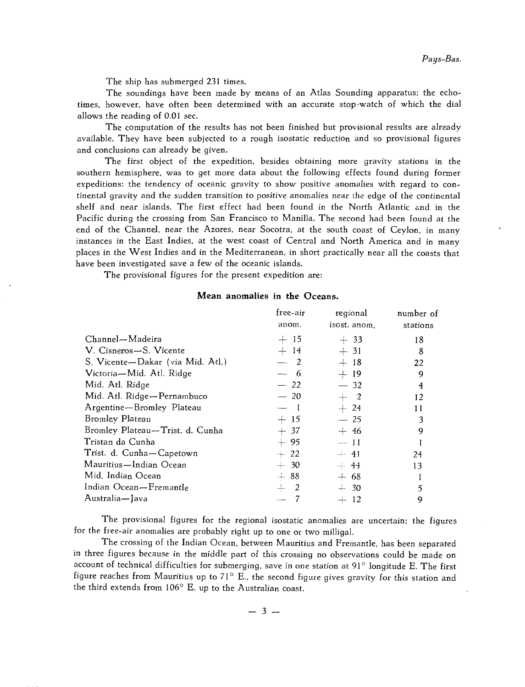The ship has submerged 231 times.

The soundings have been made by means of an Atlas Sounding apparatus; the echotimes, however, have often been determined with an accurate stop-watch of which the dial allows the reading of  $0.01$  sec.

The computation of the results has not been finished but provisional results are already available. They have been subjected to a rough isostatic reduction and so provisional figures and conclusions can already be given.

The first object of the expedition, besides obtaining more gravity stations in the southern hemisphere, was to get more data about the following effects found during former expeditions: the tendency of oceanic gravity to show positive anomalies with regard to continental gravity and the sudden transition to positive anomalies near thc edge of the continental shelf and near islands. The first effect had been found in the North Atlantic and in the Pacific during the crossing from San Francisco to Manilla. The second had been found at the end of the Channel, near the Azores, near Socotra, at the south coast of Ceylon, in many instances in the East Indies, at the west coast of Central and North America and in many places in the West Indies and in the Mediterranean, in short practically near all the coasts that have been investigated save a few of the oceanic islands.

The provisional figures for the present expedition are:

#### **Mean anomalies in the Oceans.**

|                                  | free-air | regional     | number of |
|----------------------------------|----------|--------------|-----------|
|                                  | anom.    | isost. anom. | stations  |
| Channel-Madeira                  | $+15$    | $+33$        | 18        |
| V. Cisneros-S. Vicente           | $+14$    | $+31$        | 8         |
| S. Vicente-Dakar (via Mid. Atl.) | $-2$     | $+18$        | 22        |
| Victoria-Mid. Atl. Ridge         | $-$ 6    | $+19$        | 9         |
| Mid. Atl. Ridge                  | $-22$    | $-32$        | 4         |
| Mid. Atl. Ridge-Pernambuco       | $-20$    | $+$ 2        | 12        |
| Argentine-Bromley Plateau        | $-1$     | $+24$        | 11        |
| Bromley Plateau                  | $+15$    | $-25$        | 3         |
| Bromley Plateau-Trist. d. Cunha  | $+37$    | $+46$        | 9         |
| Tristan da Cunha                 | $+95$    | $-11$        |           |
| Trist. d. Cunha-Capetown         | $+22$    | $-41$        | 24        |
| Mauritius—Indian Ocean           | $+30$    | $+ 44$       | 13        |
| Mid. Indian Ocean                | $+88$    | $+ 68$       |           |
| Indian Ocean—Fremantle           | $+$ 2    | $-.30$       | 5         |
| Australia-Java                   |          | $-12$        | 9         |
|                                  |          |              |           |

The provisional figures for the regional isostatic anomalies are uncertain; the figures for the free-air anomalies are probably right up to one or two milligal.

The crossing of the Indian Ocean, between Mauritius and Fremantle, has been separated in three figures because in the middle part of this crossing no observations could be made on account of technical difficulties for submerging, save in one station at  $91^\circ$  longitude E. The first figure reaches from Mauritius up to  $71^\circ$  E., the second figure gives gravity for this station and the third extends from  $106^{\circ}$  E. up to the Australian coast.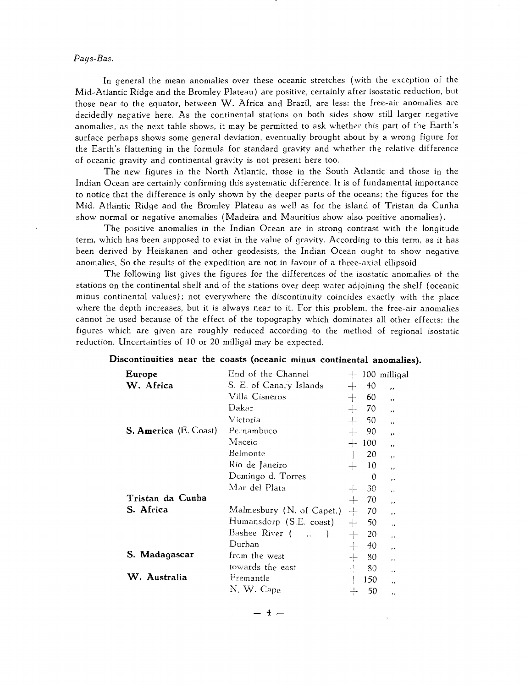#### *Pays-Bas.*

In general the mean anomalies over these oceanic stretches (with the exception of the Mid-Atlantic Ridge and the Bromley Plateau) are positive, certainly after isostatic reduction, but those near to the equator, between W. Africa and Brazil, are less: the Iree-air anomalies are decidedly negative here. As the continental stations on both sides show still larger negative anomalies, as the next table shows, it may be permitted to ask whether this part of the Earth's surface perhaps shows some general deviation, eventually brought about by a wrong figure for the Earth's flattening in the formula for standard gravity and whether the relative difference of oceanic gravity and continental gravity is not present here too.

The new figures in the North Atlantic, those in the South Atlantic and those in the Indian Ocean are certainly confirming this systematic difference. It is of fundamental importance to notice that the difference is only shown by the deeper parts of the oceans; the figures for the Mid. Atlantic Ridge and the Bromley Plateau as well as for the island of Tristan da Cunha show normal or negative anomalies (Madeira and Mauritius show also positive anomalies).

The positive anomalies in the Indian Ocean are in strong contrast with the longitude term, which has been supposed to exist in the value of gravity. According to this term, as it has been derived by Heiskanen and other geodesists, the Indian Ocean ought to show negative anomalies. So the results of the expedition are not in favour of a three-axial ellipsoid.

The following list gives the figures for the differences of the isostatic anomalies of the stations on the continental shelf and of the stations over deep water adjoining the shelf (oceanic minus continental values); not everywhere the discontinuity coincides exactly with the place where the depth increases, but it is always near to it. For this problem, the free-air anomalies cannot be used because of the effect of the topography which dominates all other effects; the figures which are given are roughly reduced according to the method of regional isostatic reduction. Uncertainties of 10 or 20 milligal may be expected.

|                              | Discontinuities near the coasts (oceanic minus continental anomalies). |        |          |                      |
|------------------------------|------------------------------------------------------------------------|--------|----------|----------------------|
| Europe                       | End of the Channel                                                     | $+$    |          | 100 milligal         |
| W. Africa                    | S. E. of Canary Islands                                                | $+$    | 40       | $\cdot$              |
|                              | Villa Cisneros                                                         |        | 60       | , ,                  |
|                              | Dakar                                                                  |        | 70       | $, \, , \,$          |
|                              | Victoria                                                               | $+$    | 50       | $, \,$               |
| <b>S. America</b> (E. Coast) | Pernambuco                                                             | $+$    | 90       | $\ddot{\phantom{0}}$ |
|                              | Maceio                                                                 |        | 100      | ,,                   |
|                              | Belmonte                                                               |        | 20       | $\cdot$              |
|                              | Rio de Janeiro                                                         | $+$    | 10       | $\cdot$              |
|                              | Domingo d. Torres                                                      |        | $\Omega$ | , ,                  |
|                              | Mar del Plata                                                          |        | 30       | ,,                   |
| Tristan da Cunha             |                                                                        |        | 70       | $\cdot$              |
| S. Africa                    | Malmesbury (N. of Capet.)                                              | $\div$ | 70       | $\cdot$              |
|                              | Humansdorp (S.E. coast)                                                | $+$    | 50       | $^{\prime}$          |
|                              | Bashee River (                                                         | $+$    | 20       | $\cdot$ ,            |
|                              | Durban                                                                 |        | 40       | $\cdot$              |
| S. Madagascar                | from the west                                                          |        | 80       | ,,                   |
|                              | towards the east                                                       | $-1$   | 80       | $\cdot$ $\cdot$      |
| W. Australia                 | Fremantle                                                              |        | 150      | , ,                  |
|                              | N. W. Cape                                                             |        | 50       | , ,                  |
|                              |                                                                        |        |          |                      |